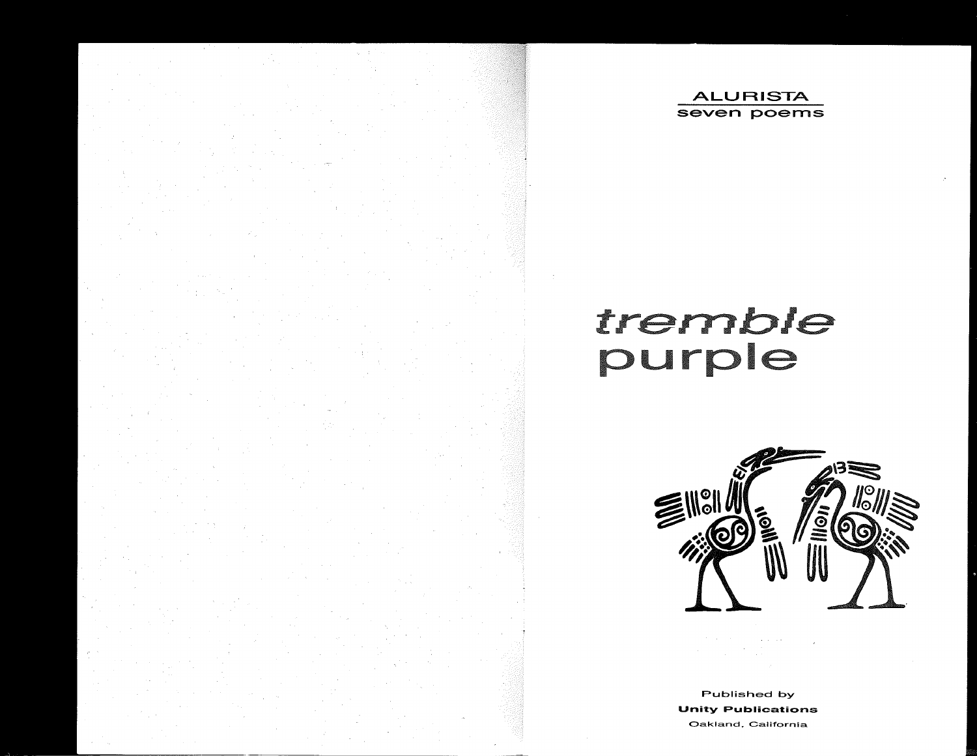

# tremble<br>purple



Published by Unity Publications **Oakland, California**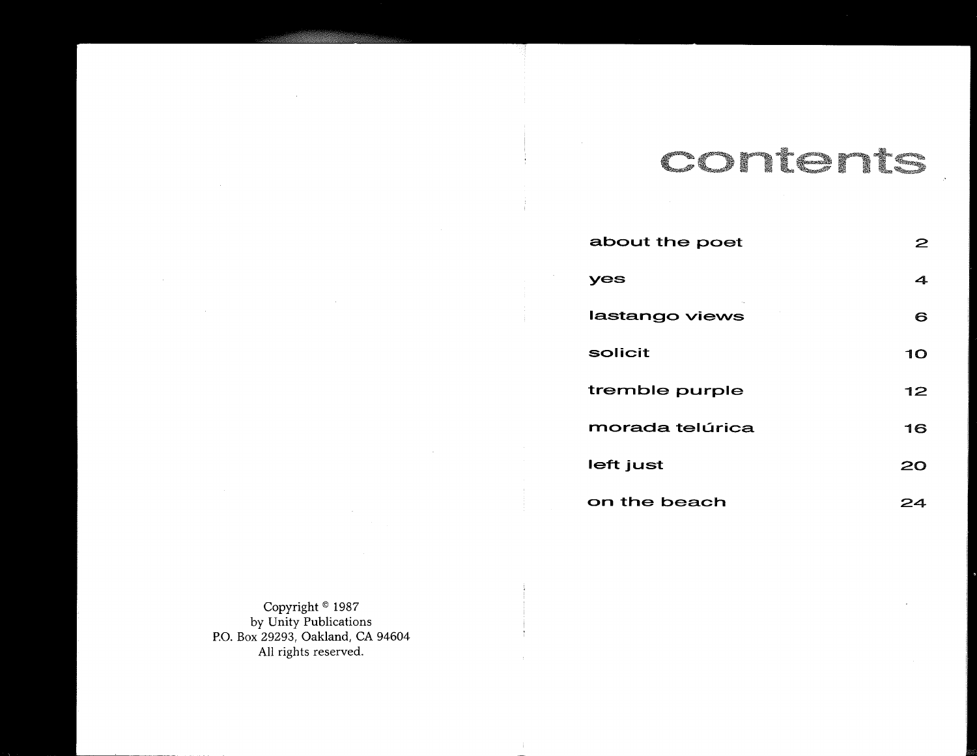### [ "'" , '" ,.;

| about the poet  |    |
|-----------------|----|
| yes             | 4  |
| lastango views  | 6  |
| solicit         | 10 |
| tremble purple  | 12 |
| morada telúrica | 16 |
| left just       | 20 |
| on the beach    |    |

Copyright © 1987 by Unity Publications P.O. Box 29293, Oakland, CA 94604 All rights reserved.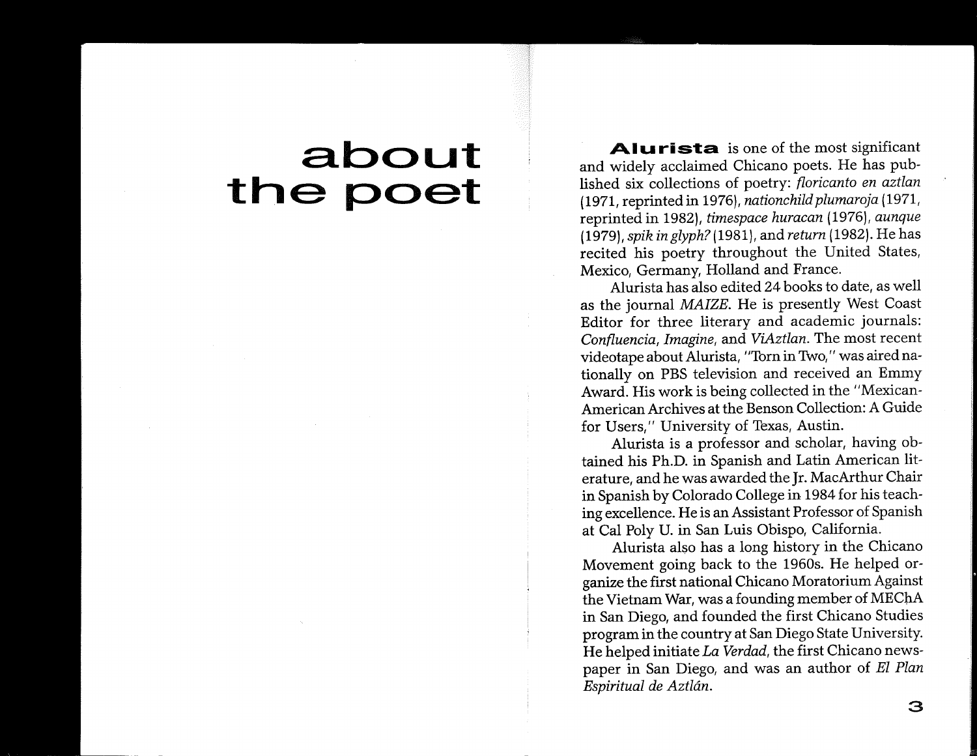## **a.bout the poet**

**Alurista** is one of the most significant and widely acclaimed Chicano poets. He has published six collections of poetry: *floricanto en aztlan* (1971, reprinted in 1976), *nationchild plumaroja* (1971, reprinted in 1982), *timespace huracan* (1976), *aunque (1979), spik in glyph?* (1981), and *return* (1982). He has recited his poetry throughout the United States, Mexico, Germany, Holland and France.

Alurista has also edited 24 books to date, as well as the journal *MAIZE.* He is presently West Coast Editor for three literary and academic journals: *Confluencia, Imagine,* and *ViAztlan.* The most recent videotape about Alurista, "Torn in Two," was aired nationally on PBS television and received an Emmy Award. His work is being collected in the "Mexican-American Archives at the Benson Collection: A Guide for Users," University of Texas, Austin.

Alurista is a professor and scholar, having obtained his Ph.D. in Spanish and Latin American literature, and he was awarded the Jr. MacArthur Chair in Spanish by Colorado College in 1984 for his teaching excellence. He is an Assistant Professor of Spanish at Cal Poly U. in San Luis Obispo, California.

Alurista also has a long history in the Chicano Movement going back to the 1960s. He helped organize the first national Chicano Moratorium Against the Vietnam War, was a founding member of MEChA in San Diego, and founded the first Chicano Studies program in the country at San Diego State University. He helped initiate *La Verdad,* the first Chicano newspaper in San Diego, and was an author of *EI Plan Espiritual de Aztldn.*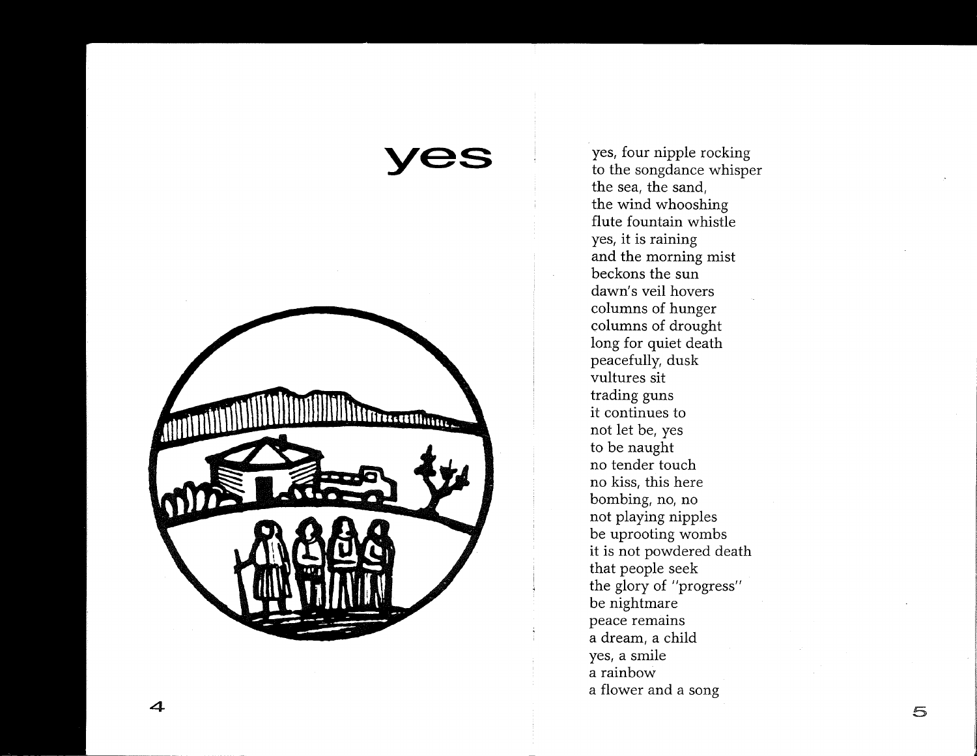Trecetthuine

**yes** 

yes, four nipple rocking to the songdance whisper the sea, the sand, the wind whooshing flute fountain whistle yes, it is raining and the morning mist beckons the sun dawn's veil hovers columns of hunger columns of drought long for quiet death peacefully, dusk vultures sit trading guns it continues to not let be, yes to be naught no tender touch no kiss, this here bombing, no, no not playing nipples be uprooting wombs it is not powdered death that people seek the glory of "progress" be nightmare peace remains a dream, a child yes, a smile a rainbow a flower and a song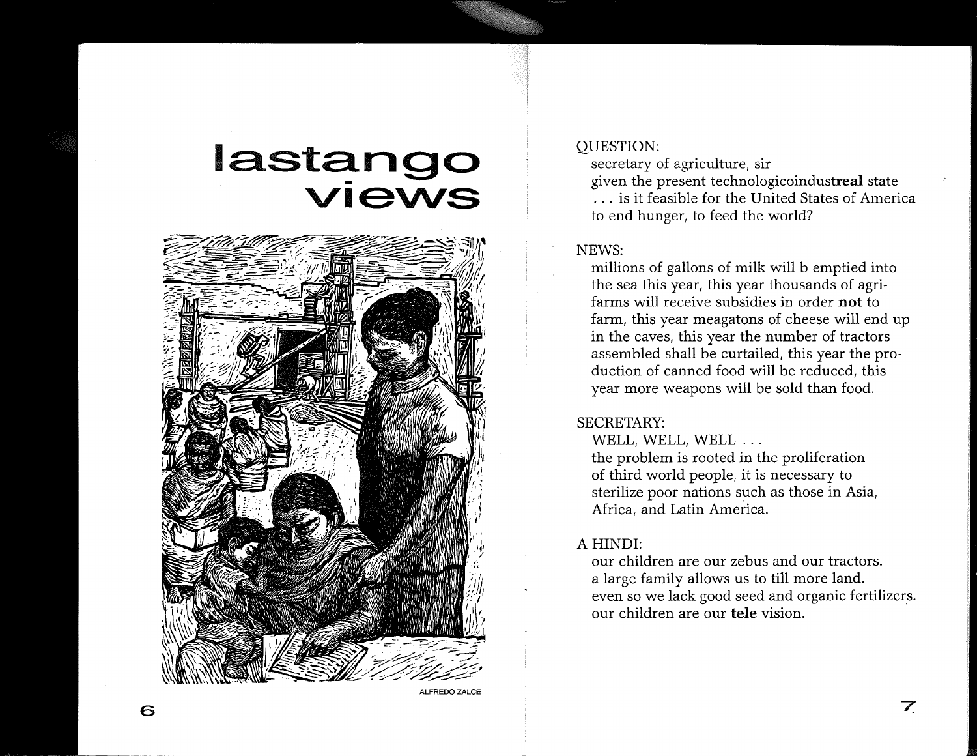## **Iastango**<br>**Views**



ALFREDO ZALCE

#### OUESTION:

secretary of agriculture, sir given the present technologicoindustreal state ... is it feasible for the United States of America to end hunger, to feed the world?

#### NEWS:

millions of gallons of milk will b emptied into the sea this year, this year thousands of agrifarms will receive subsidies in order not to farm, this year meagatons of cheese will end up in the caves, this year the number of tractors assembled shall be curtailed, this year the production of canned food will be reduced, this year more weapons will be sold than food.

#### SECRETARY:

WELL, WELL, WELL ...

the problem is rooted in the proliferation of third world people, it is necessary to sterilize poor nations such as those in Asia, Africa, and Latin America.

#### A HINDI:

our children are our zebus and our tractors. a large family allows us to till more land. even so we lack good seed and organic fertilizers. our children are our tele vision.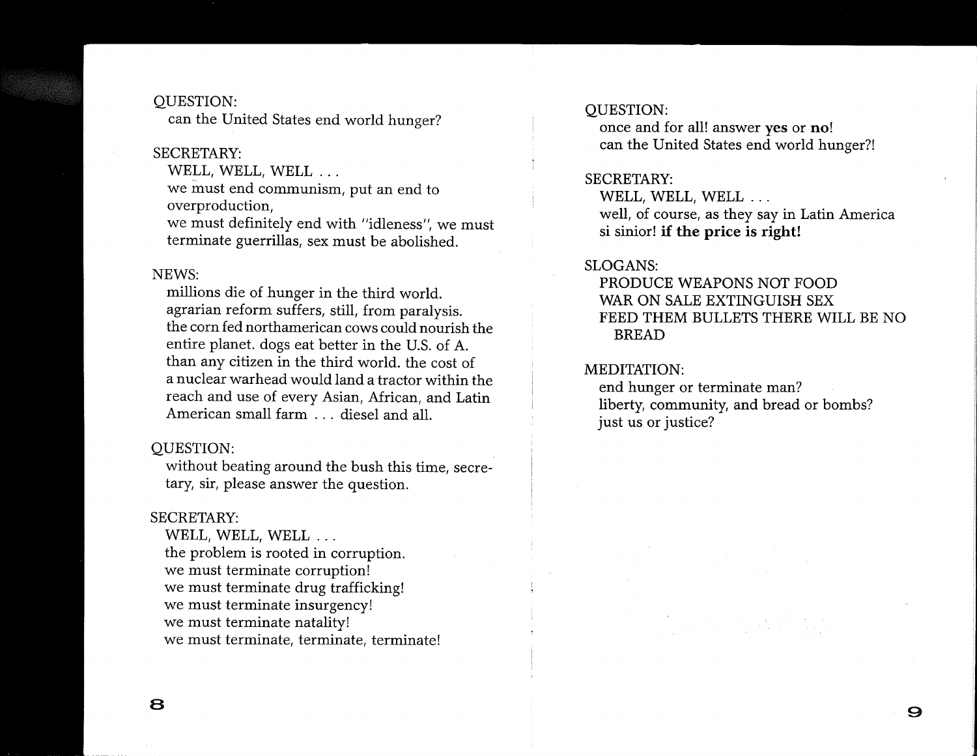#### QUESTION:

can the United States end world hunger?

#### SECRETARY:

WELL, WELL, WELL ...

we must end communism, put an end to overproduction,

we must definitely end with "idleness", we must terminate guerrillas, sex must be abolished.

#### NEWS:

millions die of hunger in the third world. agrarian reform suffers, still, from paralysis. the corn fed northamerican cows could nourish the entire planet. dogs eat better in the U.S. of A. than any citizen in the third world. the cost of a nuclear warhead would land a tractor within the reach and use of every Asian, African, and Latin American small farm . . . diesel and all.

#### QUESTION:

without beating around the bush this time, secretary, sir, please answer the question.

#### SECRETARY:

WELL, WELL, WELL ... the problem is rooted in corruption. we must terminate corruption! we must terminate drug trafficking! we must terminate insurgency! we must terminate natality! we must terminate, terminate, terminate!

#### QUESTION:

once and for all! answer yes or no! can the United States end world hunger?!

#### SECRETARY:

WELL, WELL, WELL ... well, of course, as they say in Latin America si sinior! **if the price is right!** 

#### SLOGANS:

PRODUCE WEAPONS NOT FOOD WAR ON SALE EXTINGUISH SEX FEED THEM BULLETS THERE WILL BE NO BREAD

#### MEDITATION:

end hunger or terminate man? liberty, community, and bread or bombs? just us or justice?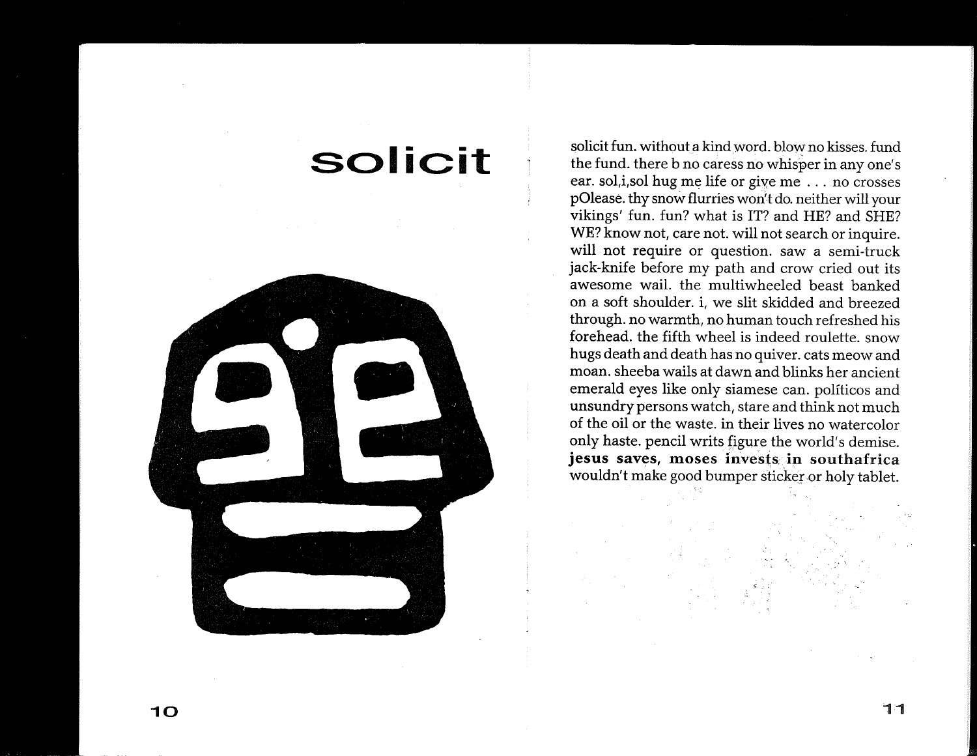## **solicit**



solicit fun. without a kind word. blow no kisses. fund the fund. there b no caress no whisper in anyone's ear. sol,i,sol hug me life or give me ... no crosses pOlease. thy snow flurries won't do. neither will your vikings' fun. fun? what is IT? and HE? and SHE? WE? know not, care not. will not search or inquire. will not require or question. saw a semi-truck jack-knife before my path and crow cried out its awesome wail. the multiwheeled beast banked on a soft shoulder. i, we slit skidded and breezed through. no warmth, no human touch refreshed his forehead. the fifth wheel is indeed roulette. snow hugs death and death has no quiver. cats meow and moan. sheeba wails at dawn and blinks her ancient emerald eyes like only siamese can. politicos and unsundry persons watch, stare and think not much of the oil or the waste. in their lives no watercolor only haste. pencil writs figure the world's demise. **jesus saves, moses** invests, **in** southafrica wouldn't make good bumper sticker or holy tablet.

 $\dot{s}$  ......  $\dot{z}$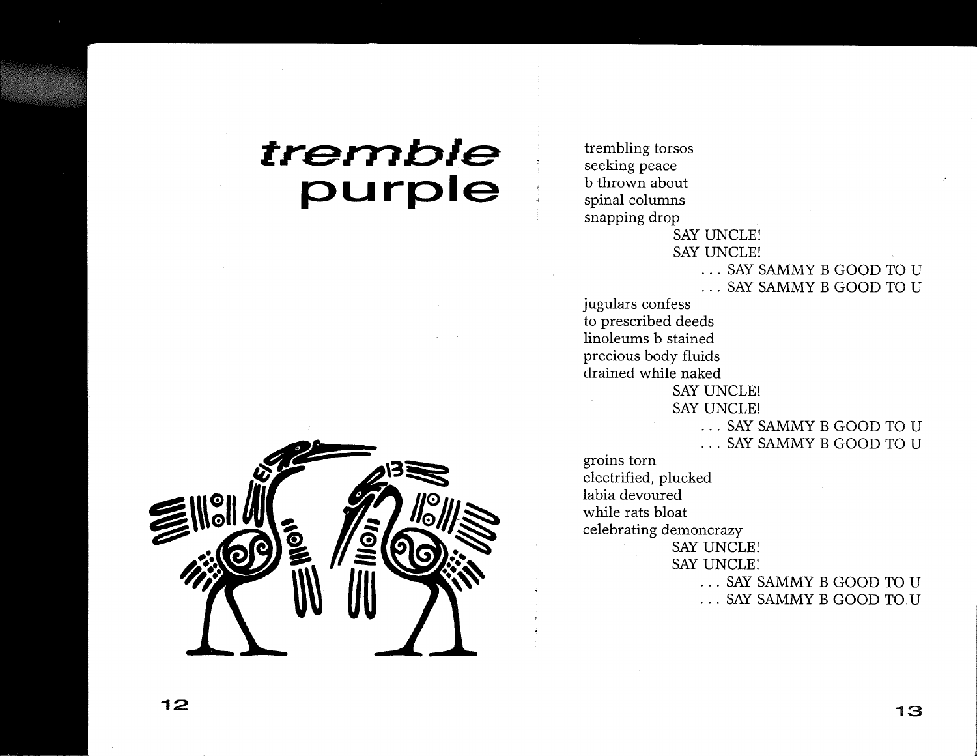## **tremble purple**



trembling torsos seeking peace b thrown about spinal columns snapping drop SAY UNCLE! SAY UNCLE! · .. SAY SAMMY B GOOD TO U · .. SAY SAMMY B GOOD TO U jugulars confess to prescribed deeds linoleums b stained precious body fluids drained while naked SAY UNCLE! SAY UNCLE! · .. SAY SAMMY B GOOD TO U · .. SAY SAMMY B GOOD TO U groins torn electrified, plucked labia devoured while rats bloat celebrating demoncrazy SAY UNCLE! SAY UNCLE! · .. SAY SAMMY B GOOD TO U ... SAY SAMMY B GOOD TO.U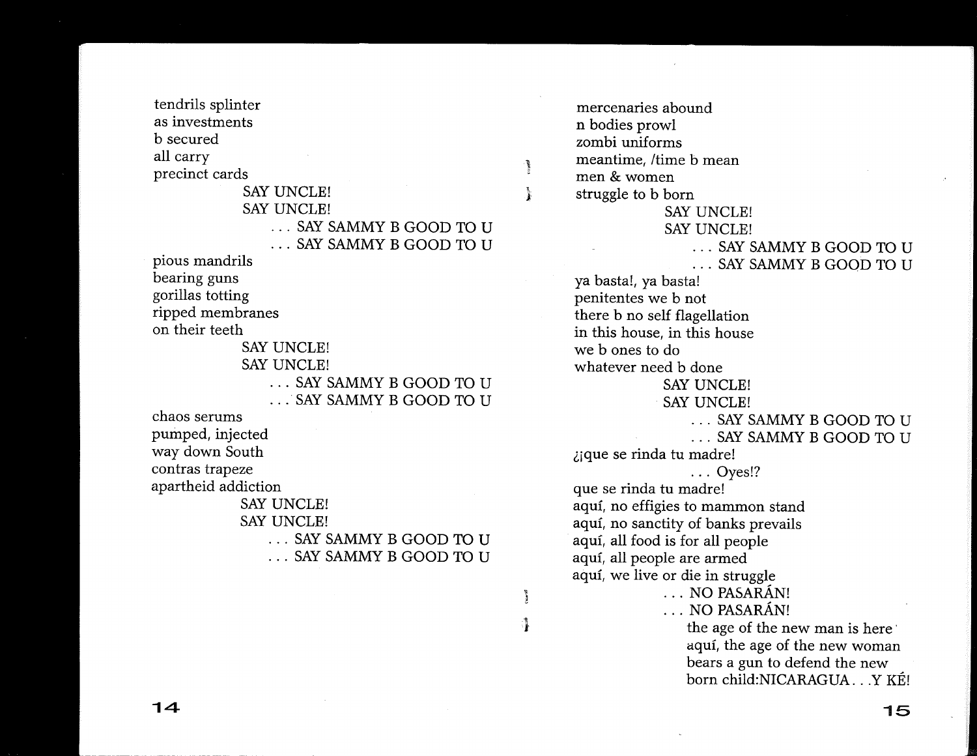tendrils splinter as investments b secured all carry precinct cards

SAY UNCLE! SAY UNCLE! · .. SAY SAMMY B GOOD TO U · .. SAY SAMMY B GOOD TO U pious mandrils bearing guns gorillas totting ripped membranes

Å

 $\frac{1}{2}$ 

ै

on their teeth SAY UNCLE! SAY UNCLE! · .. SAY SAMMY B GOOD TO U · .. ' SAY SAMMY B GOOD TO U

chaos serums pumped, injected way down South contras trapeze apartheid addiction

> SAY UNCLE! SAY UNCLE! · .. SAY SAMMY B GOOD TO U · .. SAY SAMMY B GOOD TO U

mercenaries abound n bodies prowl zombi uniforms meantime, /time b mean men & women struggle to b born SAY UNCLE! SAY UNCLE! · .. SAY SAMMY B GOOD TO U · .. SAY SAMMY B GOOD TO U ya basta!, ya basta! penitentes we b not there b no self flagellation in this house, in this house we b ones to do whatever need b done SAY UNCLE! SAY UNCLE! · .. SAY SAMMY B GOOD TO U · .. SAY SAMMY B GOOD TO U ljque se rinda tu madre! ... Oyes!? que se rinda tu madre! aquí, no effigies to mammon stand aquí, no sanctity of banks prevails aquí, all food is for all people aquí, all people are armed aquí, we live or die in struggle ... NO PASARÁN! ... NO PASARÁN! the age of the new man is here' aquí, the age of the new woman bears a gun to defend the new

born child:NICARAGUA . . . Y KÉ!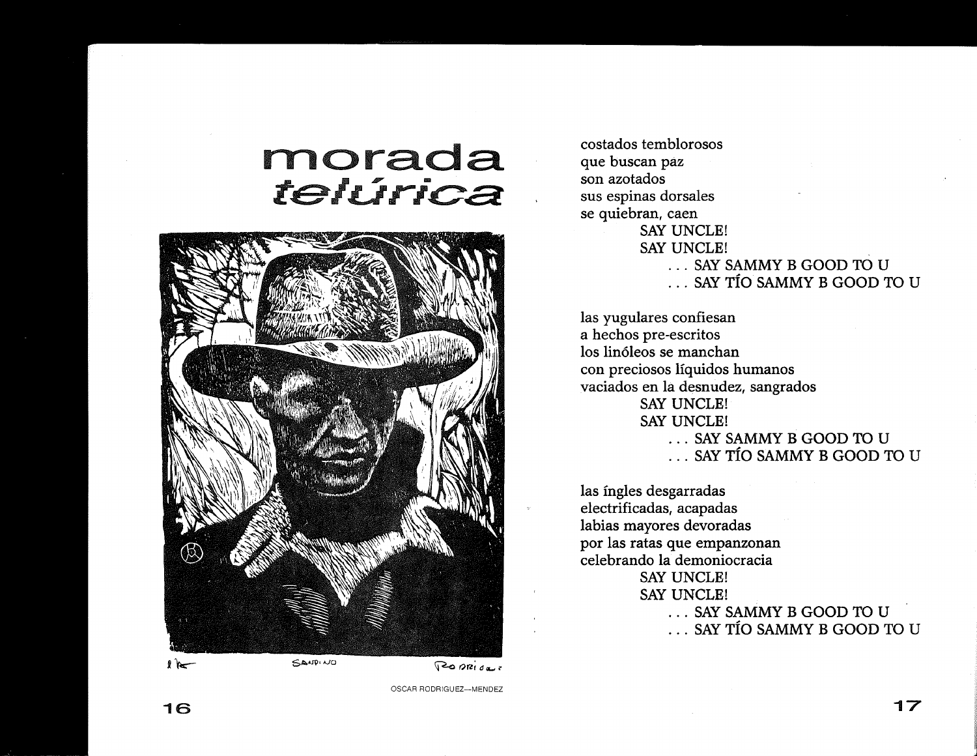## **rnorada**  telurica



costados temblorosos que buscan paz son azotados sus espinas dorsales se quiebran, caen SAY UNCLE! SAY UNCLE! · .. SAY SAMMY B GOOD TO U · .. SAY TIO SAMMY B GOOD TO U

las yugulares confiesan a hechos pre-escritos los lin6leos se manchan con preciosos liquidos humanos vaciados en la desnudez, sangrados SAY UNCLE! SAY UNCLE! · .. SAY SAMMY B GOOD TO U · .. SAY TIO SAMMY B GOOD TO U

las fngles desgarradas electrificadas, acapadas labias mayores devoradas por las ratas que empanzonan celebrando la demoniocracia SAY UNCLE! SAY UNCLE! · .. SAY SAMMY B GOOD TO U · .. SAY TIO SAMMY B GOOD TO U

OSCAR RODRIGUEZ-MENDEZ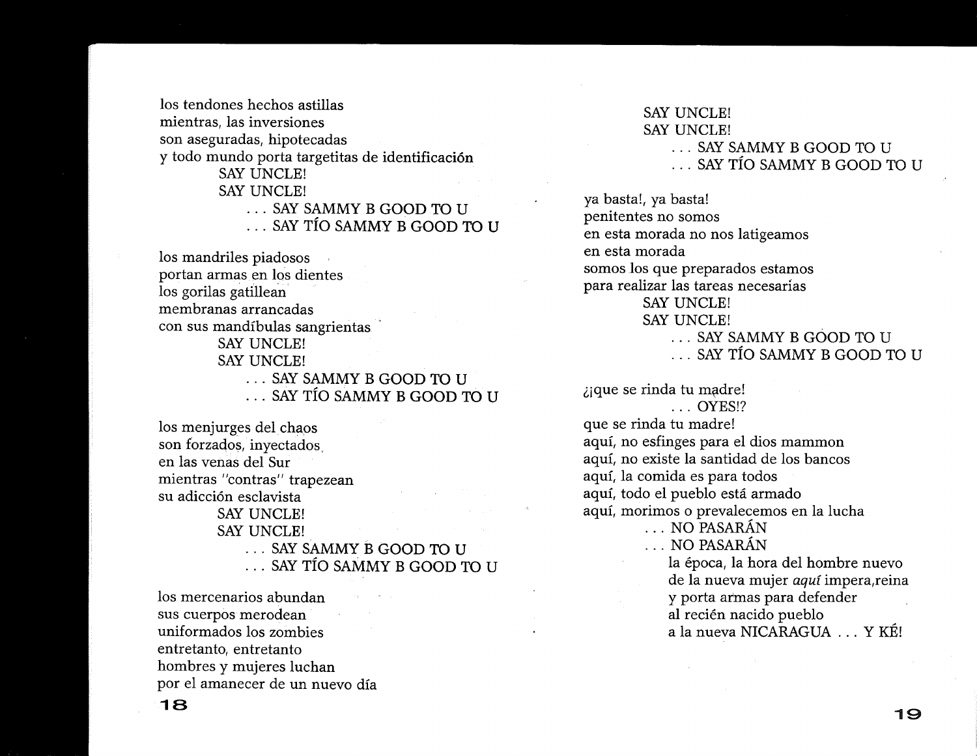los tendones hechos astillas mientras, las inversiones son aseguradas, hipotecadas y todo mundo porta targetitas de identificación SAY UNCLE! SAY UNCLE! · .. SAY SAMMY B GOOD TO U · .. SAY Tfo SAMMY B GOOD TO U

los mandriles piadosos portan armas en los dientes los gorilas gatillean membranas arrancadas con sus mandfbulas sangrientas SAY UNCLE! SAY UNCLE! · .. SAY SAMMY B GOOD TO U

· .. SAY Tfo SAMMY B GOOD TO U

los menjurges del chaos son forzados, inyectados. en las venas del Sur mientras "contras" trapezean su adicción esclavista SAY UNCLE! SAY UNCLE! · .. SAY SAMMY B GOOD TO U · .. SAY Tfo SAMMY B GOOD TO U

los mercenarios abundan sus cuerpos merodean uniformados los zombies entretanto, entretanto hombres y mujeres luchan por el amanecer de un nuevo dfa

#### SAY UNCLE! SAY UNCLE! · .. SAY SAMMY B GOOD TO U · .. SAY Tfo SAMMY B GOOD TO U

ya basta!, ya basta! penitentes no somos en esta morada no nos latigeamos en esta morada somos Jos que preparados estamos para realizar las tareas necesarias SAY UNCLE! SAY UNCLE! · .. SAY SAMMY B GOOD TO U · .. SAY Tfo SAMMY B GOOD TO U

 $\lambda$ jque se rinda tu madre! ... OYES!? que se rinda tu madre! aquf, no esfinges para el dios mammon aquf, no existe la santidad de los bancos aquf, la comida es para todos aquf, todo el pueblo esta armado aquf, morimos 0 prevalecemos en la lucha ... NO PASARÁN ... NO PASARÁN la epoca, la hora del hombre nuevo de la nueva mujer aquf impera,reina y porta armas para defender al recién nacido pueblo a la nueva NICARAGUA ... Y KE!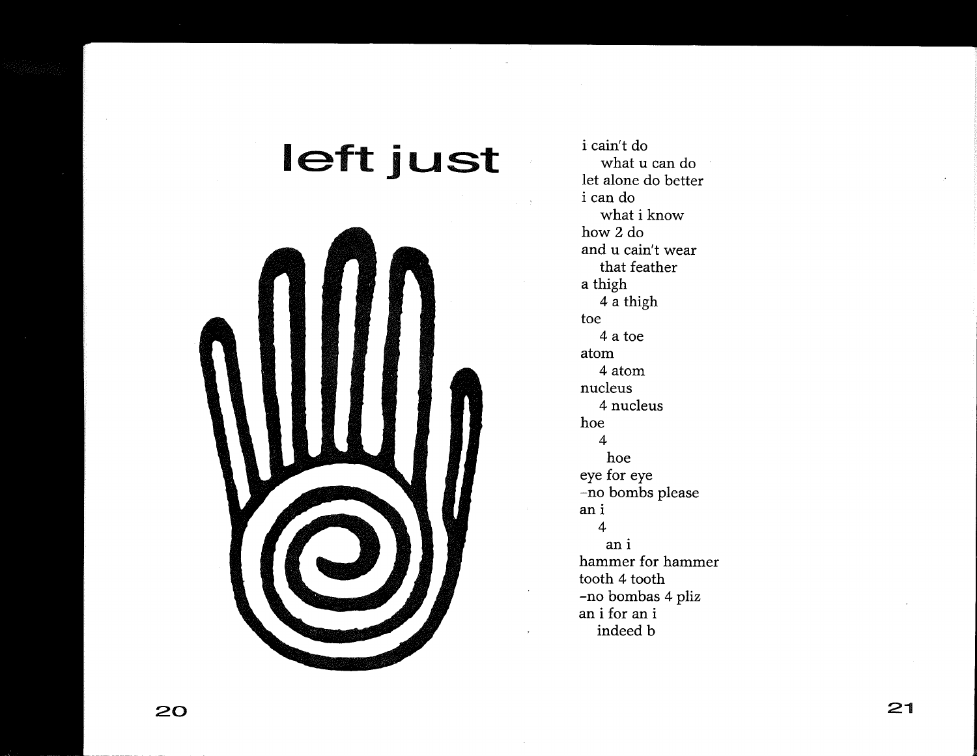## **left just**



i cain't do what u can do let alone do better i can do what i know how 2 do and u cain't wear that feather a thigh 4 a thigh toe 4 a toe atom 4 atom nucleus 4 nucleus hoe 4 hoe eye for eye -no bombs please an i 4 an i hammer for hammer tooth 4 tooth -no bombas 4 pliz an i for an i indeed b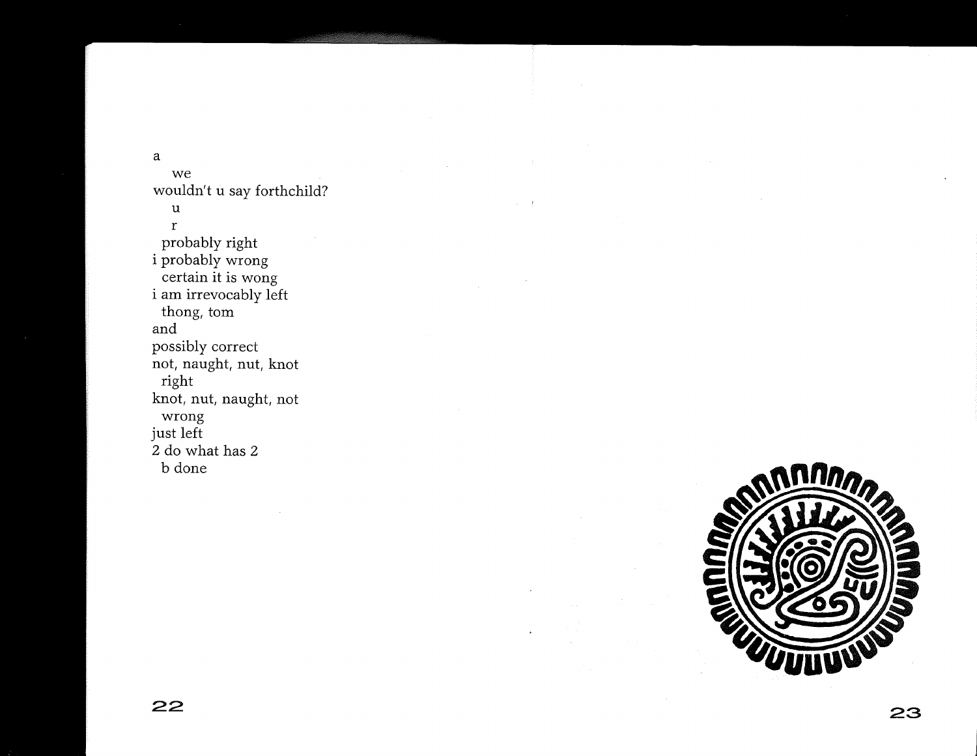a

we wouldn't u say forthchild? u r probably right i probably wrong certain it is wong i am irrevocably left thong, tom and possibly correct not, naught, nut, knot right knot, nut, naught, not wrong just left 2 do what has 2 b done

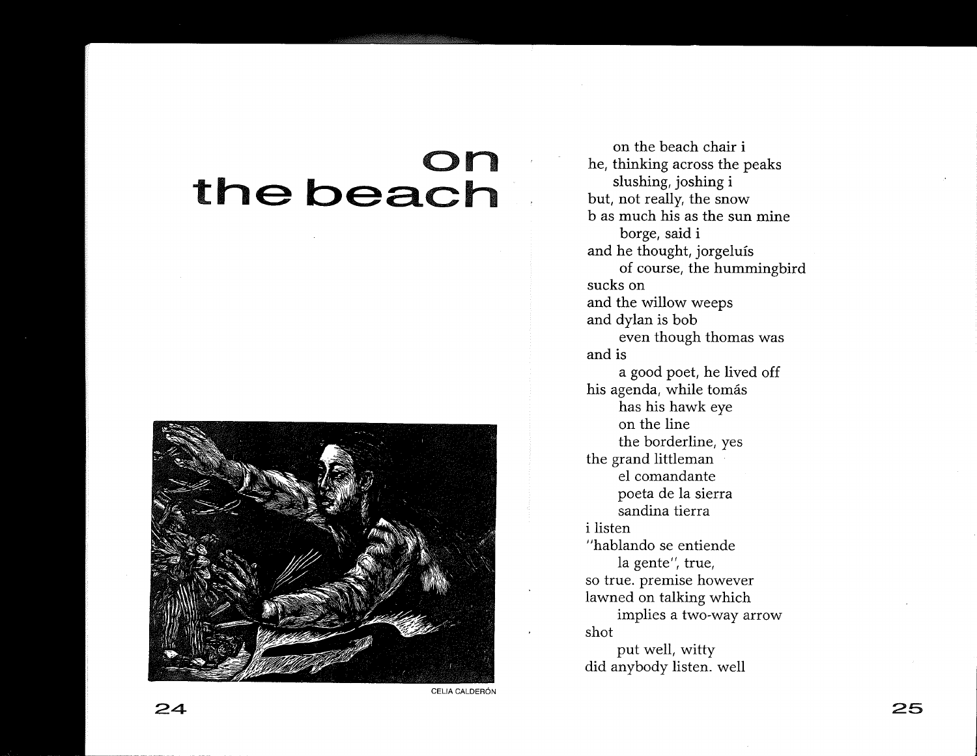## **on**  the beach



**CELIA CALDERÓN** 

on the beach chair i he, thinking across the peaks slushing, joshing i but, not really, the snow b as much his as the sun mine borge, said i and he thought, jorgeluis of course, the hummingbird sucks on and the willow weeps and dylan is bob even though thomas was and is a good poet, he lived off his agenda, while tomás has his hawk *eye*  on the line the borderline, yes the grand littleman el comandante poeta de la sierra sandina tierra i listen "hablando se entiende la gente'', true, so true. premise however lawned on talking which implies a two-way arrow shot put well, witty did anybody listen. well

**24**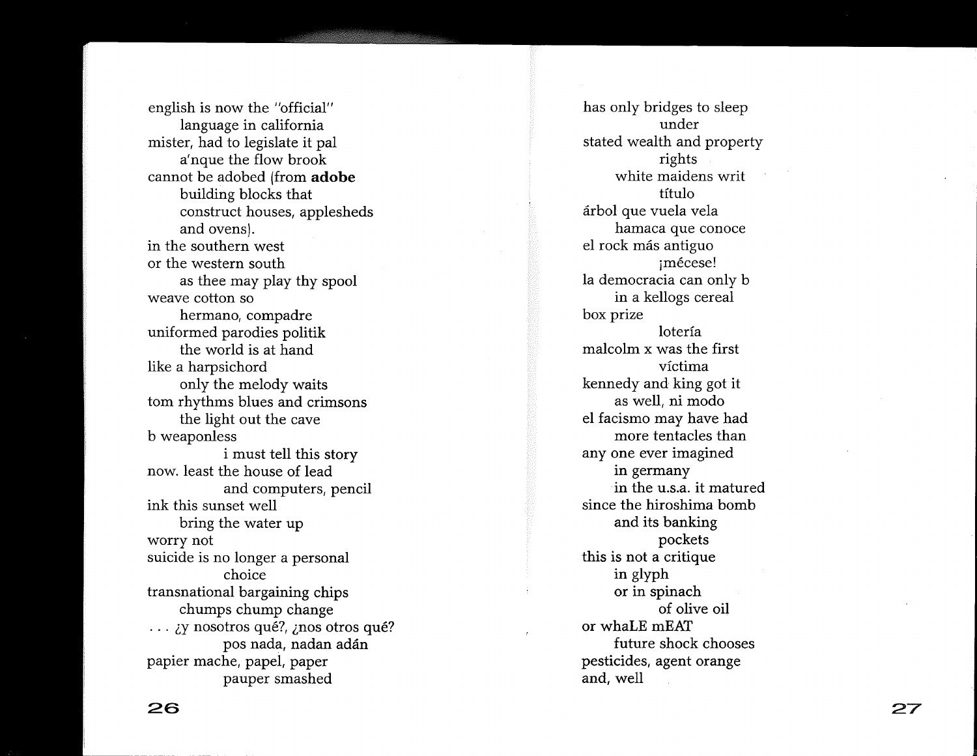english is now the "official" language in california mister, had to legislate it pal a' nque the flow brook cannot be adobed (from **adobe**  building blocks that construct houses, applesheds and ovens). in the southern west or the western south as thee may play thy spool weave cotton so hermano, compadre uniformed parodies politik the world is at hand like a harpsichord only the melody waits tom rhythms blues and crimsons the light out the cave b weaponless i must tell this story now. least the house of lead and computers, pencil ink this sunset well bring the water up worry not suicide is no longer a personal choice transnational bargaining chips chumps chump change ... *iy* nosotros qué?, *inos* otros qué? pos nada, nadan adán papier mache, papel, paper pauper smashed

has only bridges to sleep under stated wealth and property rights white maidens writ titulo arbol que vuela vela hamaca que conoce el rock mas antiguo jmecese! la democracia can only b in a kellogs cereal box prize loterfa malcolm x was the first victima kennedy and king got it as well, ni modo el facismo may have had more tentacles than anyone ever imagined in germany . in the u.s.a. it matured since the hiroshima bomb and its banking pockets this is not a critique in glyph or in spinach of olive oil or whaLE mEAT future shock chooses pesticides, agent orange and, well